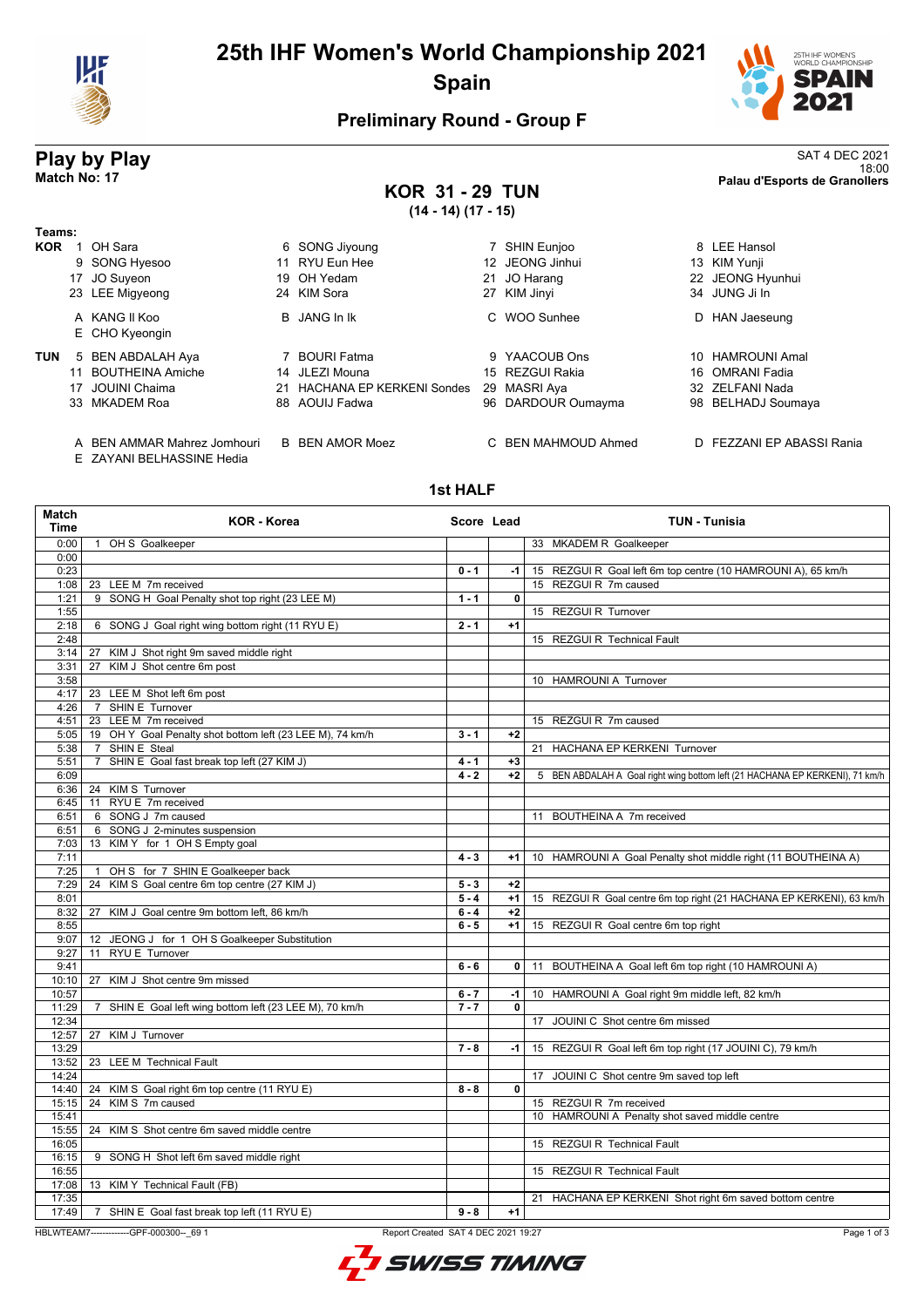

# **25th IHF Women's World Championship 2021 Spain**



18:00 **Match No: 17 Palau d'Esports de Granollers**

## **Preliminary Round - Group F**

# **Play by Play**<br>Match No: 17<br>Palau d'Esports de Granollers

## **KOR 31 - 29 TUN (14 - 14) (17 - 15)**

| Teams:     |    |                                 |    |                                  |    |                    |    |                         |
|------------|----|---------------------------------|----|----------------------------------|----|--------------------|----|-------------------------|
| <b>KOR</b> |    | OH Sara                         |    | 6 SONG Jiyoung                   |    | SHIN Eunjoo        |    | 8 LEE Hansol            |
|            |    | 9 SONG Hyesoo                   |    | 11 RYU Eun Hee                   |    | 12 JEONG Jinhui    |    | 13 KIM Yunji            |
|            |    | 17 JO Suyeon                    |    | 19 OH Yedam                      | 21 | JO Harang          |    | 22 JEONG Hyunhui        |
|            |    | 23 LEE Migyeong                 |    | 24 KIM Sora                      | 27 | KIM Jinyi          |    | 34 JUNG Ji In           |
|            |    | A KANG II Koo<br>E CHO Kyeongin |    | <b>B</b> JANG In Ik              | C. | WOO Sunhee         | D. | HAN Jaeseung            |
| <b>TUN</b> |    | 5 BEN ABDALAH Aya               |    | 7 BOURI Fatma                    | 9  | YAACOUB Ons        |    | 10 HAMROUNI Amal        |
|            |    | <b>BOUTHEINA Amiche</b>         |    | 14 JLEZI Mouna                   |    | 15 REZGUI Rakia    |    | 16 OMRANI Fadia         |
|            | 17 | JOUINI Chaima                   | 21 | <b>HACHANA EP KERKENI Sondes</b> | 29 | MASRI Aya          |    | 32 ZELFANI Nada         |
|            |    | 33 MKADEM Roa                   |    | 88 AOUIJ Fadwa                   |    | 96 DARDOUR Oumayma | 98 | <b>BELHADJ Soumaya</b>  |
|            |    | A BEN AMMAR Mahrez Jomhouri     |    | <b>B</b> BEN AMOR Moez           |    | BEN MAHMOUD Ahmed  | D. | FEZZANI EP ABASSI Rania |

E ZAYANI BELHASSINE Hedia

### **1st HALF**

| Match<br><b>Time</b> | <b>KOR - Korea</b>                                        | Score Lead |              | <b>TUN - Tunisia</b>                                                         |
|----------------------|-----------------------------------------------------------|------------|--------------|------------------------------------------------------------------------------|
| 0:00                 | 1 OH S Goalkeeper                                         |            |              | 33 MKADEM R Goalkeeper                                                       |
| 0:00                 |                                                           |            |              |                                                                              |
| 0:23                 |                                                           | $0 - 1$    | $-1$         | 15 REZGUI R Goal left 6m top centre (10 HAMROUNI A), 65 km/h                 |
| 1:08                 | 23 LEE M 7m received                                      |            |              | 15 REZGUI R 7m caused                                                        |
| 1:21                 | 9 SONG H Goal Penalty shot top right (23 LEE M)           | $1 - 1$    | $\mathbf{0}$ |                                                                              |
| 1:55                 |                                                           |            |              | 15 REZGUI R Turnover                                                         |
| 2:18                 | 6 SONG J Goal right wing bottom right (11 RYU E)          | $2 - 1$    | $+1$         |                                                                              |
| 2:48                 |                                                           |            |              | 15 REZGUI R Technical Fault                                                  |
| 3:14                 | KIM J Shot right 9m saved middle right<br>27              |            |              |                                                                              |
| 3:31                 | KIM J Shot centre 6m post<br>27                           |            |              |                                                                              |
| 3:58                 |                                                           |            |              | 10 HAMROUNI A Turnover                                                       |
| 4:17                 | 23 LEE M Shot left 6m post                                |            |              |                                                                              |
| 4:26                 | <b>SHIN E Turnover</b><br>$\overline{7}$                  |            |              |                                                                              |
| 4:51                 | 23 LEE M 7m received                                      |            |              | 15 REZGUI R 7m caused                                                        |
| 5:05                 | 19 OH Y Goal Penalty shot bottom left (23 LEE M), 74 km/h | $3 - 1$    | $+2$         |                                                                              |
| 5:38                 | 7 SHIN E Steal                                            |            |              | 21 HACHANA EP KERKENI Turnover                                               |
| 5:51                 | SHIN E Goal fast break top left (27 KIM J)<br>$7^{\circ}$ | $4 - 1$    | $+3$         |                                                                              |
| 6:09                 |                                                           | $4 - 2$    | $+2$         | 5 BEN ABDALAH A Goal right wing bottom left (21 HACHANA EP KERKENI), 71 km/h |
| 6:36                 | 24 KIMS Turnover                                          |            |              |                                                                              |
| 6:45                 | 11 RYU E 7m received                                      |            |              |                                                                              |
| 6:51                 | 6 SONG J 7m caused                                        |            |              | 11 BOUTHEINA A 7m received                                                   |
| 6:51                 | 6 SONG J 2-minutes suspension                             |            |              |                                                                              |
| 7:03                 | 13 KIMY for 1 OH S Empty goal                             |            |              |                                                                              |
| 7:11                 |                                                           | $4 - 3$    | $+1$         | 10 HAMROUNI A Goal Penalty shot middle right (11 BOUTHEINA A)                |
| 7:25                 | OH S for 7 SHIN E Goalkeeper back<br>$\mathbf{1}$         |            |              |                                                                              |
| 7:29                 | 24 KIM S Goal centre 6m top centre (27 KIM J)             | $5 - 3$    | $+2$         |                                                                              |
| 8:01                 |                                                           | $5 - 4$    | $+1$         | 15 REZGUI R Goal centre 6m top right (21 HACHANA EP KERKENI), 63 km/h        |
| 8:32                 | 27 KIM J Goal centre 9m bottom left, 86 km/h              | $6 - 4$    | $+2$         |                                                                              |
| 8:55                 |                                                           | $6 - 5$    | $+1$         | 15 REZGUI R Goal centre 6m top right                                         |
| 9:07                 | 12 JEONG J for 1 OH S Goalkeeper Substitution             |            |              |                                                                              |
| 9:27                 | 11 RYU E Turnover                                         |            |              |                                                                              |
| 9:41                 |                                                           | $6 - 6$    | $\mathbf{0}$ | 11 BOUTHEINA A Goal left 6m top right (10 HAMROUNI A)                        |
| 10:10                | 27 KIM J Shot centre 9m missed                            |            |              |                                                                              |
| 10:57                |                                                           | $6 - 7$    | -1           | 10 HAMROUNI A Goal right 9m middle left, 82 km/h                             |
| 11:29                | 7 SHIN E Goal left wing bottom left (23 LEE M), 70 km/h   | $7 - 7$    | 0            |                                                                              |
| 12:34                |                                                           |            |              | 17 JOUINI C Shot centre 6m missed                                            |
| 12:57                | 27 KIM J Turnover                                         |            |              |                                                                              |
| 13:29                |                                                           | $7 - 8$    | -1           | 15 REZGUI R Goal left 6m top right (17 JOUINI C), 79 km/h                    |
| 13:52                | 23 LEE M Technical Fault                                  |            |              |                                                                              |
| 14:24                |                                                           |            |              | 17 JOUINI C Shot centre 9m saved top left                                    |
| 14:40                | 24 KIM S Goal right 6m top centre (11 RYU E)              | $8 - 8$    | 0            |                                                                              |
| 15:15                | 24 KIM S 7m caused                                        |            |              | 15 REZGUI R 7m received                                                      |
| 15:41                |                                                           |            |              | 10 HAMROUNI A Penalty shot saved middle centre                               |
| 15:55                | 24 KIM S Shot centre 6m saved middle centre               |            |              |                                                                              |
| 16:05                |                                                           |            |              | 15 REZGUI R Technical Fault                                                  |
| 16:15                | 9 SONG H Shot left 6m saved middle right                  |            |              |                                                                              |
| 16:55                |                                                           |            |              | 15 REZGUI R Technical Fault                                                  |
| 17:08                | 13 KIM Y Technical Fault (FB)                             |            |              |                                                                              |
| 17:35                |                                                           |            |              | 21 HACHANA EP KERKENI Shot right 6m saved bottom centre                      |
| 17:49                | 7 SHIN E Goal fast break top left (11 RYU E)              | $9 - 8$    | $+1$         |                                                                              |

HBLWTEAM7-------------GPF-000300--\_69 1 Report Created SAT 4 DEC 2021 19:27

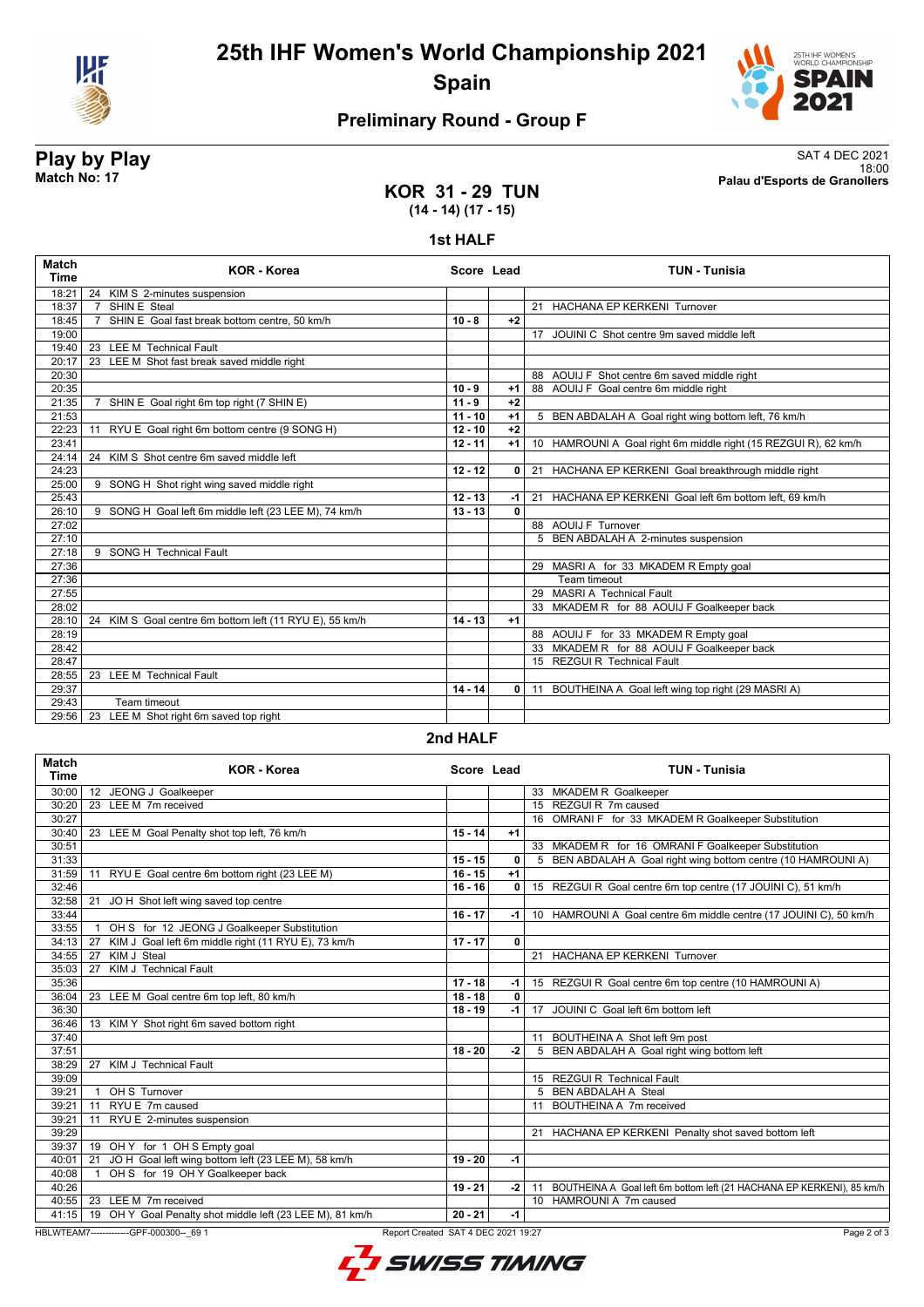

**25th IHF Women's World Championship 2021 Spain**



# **Preliminary Round - Group F**

**KOR 31 - 29 TUN**

**Play by Play**<br>Match No: 17<br>Palau d'Esports de Granollers 18:00 **Match No: 17 Palau d'Esports de Granollers**

# **(14 - 14) (17 - 15)**

### **1st HALF**

| <b>KOR - Korea</b>                                      |                                                                                                              |                | <b>TUN - Tunisia</b>                                                        |
|---------------------------------------------------------|--------------------------------------------------------------------------------------------------------------|----------------|-----------------------------------------------------------------------------|
| 24 KIM S 2-minutes suspension                           |                                                                                                              |                |                                                                             |
| $\overline{7}$                                          |                                                                                                              |                | 21 HACHANA EP KERKENI Turnover                                              |
|                                                         | $10 - 8$                                                                                                     | $+2$           |                                                                             |
|                                                         |                                                                                                              |                | 17 JOUINI C Shot centre 9m saved middle left                                |
| 23 LEE M Technical Fault                                |                                                                                                              |                |                                                                             |
|                                                         |                                                                                                              |                |                                                                             |
|                                                         |                                                                                                              |                | 88 AOUIJ F Shot centre 6m saved middle right                                |
|                                                         | $10 - 9$                                                                                                     | $+1$           | 88 AOUIJ F Goal centre 6m middle right                                      |
| SHIN E Goal right 6m top right (7 SHIN E)               | $11 - 9$                                                                                                     | $+2$           |                                                                             |
|                                                         |                                                                                                              | $+1$           | 5 BEN ABDALAH A Goal right wing bottom left, 76 km/h                        |
| 11 RYU E Goal right 6m bottom centre (9 SONG H)         |                                                                                                              | $+2$           |                                                                             |
|                                                         | $12 - 11$                                                                                                    | $+1$           | 10 HAMROUNI A Goal right 6m middle right (15 REZGUI R), 62 km/h             |
| 24 KIM S Shot centre 6m saved middle left               |                                                                                                              |                |                                                                             |
|                                                         | $12 - 12$                                                                                                    | 0              | 21 HACHANA EP KERKENI Goal breakthrough middle right                        |
| 9 SONG H Shot right wing saved middle right             |                                                                                                              |                |                                                                             |
|                                                         |                                                                                                              | -1             | 21 HACHANA EP KERKENI Goal left 6m bottom left, 69 km/h                     |
| 9 SONG H Goal left 6m middle left (23 LEE M), 74 km/h   |                                                                                                              | 0              |                                                                             |
|                                                         |                                                                                                              |                | 88 AOUIJ F Turnover                                                         |
|                                                         |                                                                                                              |                | 5 BEN ABDALAH A 2-minutes suspension                                        |
| 9 SONG H Technical Fault                                |                                                                                                              |                |                                                                             |
|                                                         |                                                                                                              |                | 29 MASRI A for 33 MKADEM R Empty goal                                       |
|                                                         |                                                                                                              |                | Team timeout                                                                |
|                                                         |                                                                                                              |                | 29 MASRI A Technical Fault                                                  |
|                                                         |                                                                                                              |                | 33 MKADEM R for 88 AOUIJ F Goalkeeper back                                  |
| 24 KIM S Goal centre 6m bottom left (11 RYU E), 55 km/h |                                                                                                              | $+1$           |                                                                             |
|                                                         |                                                                                                              |                | 88 AOUIJ F for 33 MKADEM R Empty goal                                       |
|                                                         |                                                                                                              |                | 33 MKADEM R for 88 AOUIJ F Goalkeeper back                                  |
|                                                         |                                                                                                              |                | 15 REZGUI R Technical Fault                                                 |
| 23 LEE M Technical Fault                                |                                                                                                              |                |                                                                             |
|                                                         | $14 - 14$                                                                                                    | $\overline{0}$ | 11 BOUTHEINA A Goal left wing top right (29 MASRI A)                        |
| Team timeout                                            |                                                                                                              |                |                                                                             |
| 23 LEE M Shot right 6m saved top right                  |                                                                                                              |                |                                                                             |
|                                                         | SHIN E Steal<br>SHIN E Goal fast break bottom centre, 50 km/h<br>23 LEE M Shot fast break saved middle right |                | Score Lead<br>$11 - 10$<br>$12 - 10$<br>$12 - 13$<br>$13 - 13$<br>$14 - 13$ |

**2nd HALF**

| Match<br><b>Time</b> | <b>KOR - Korea</b>                                                              | Score Lead |              | <b>TUN - Tunisia</b>                                                     |
|----------------------|---------------------------------------------------------------------------------|------------|--------------|--------------------------------------------------------------------------|
| 30:00                | 12 JEONG J Goalkeeper                                                           |            |              | 33 MKADEM R Goalkeeper                                                   |
| 30:20                | 23 LEE M 7m received                                                            |            |              | 15 REZGUI R 7m caused                                                    |
| 30:27                |                                                                                 |            |              | 16 OMRANI F for 33 MKADEM R Goalkeeper Substitution                      |
| 30:40                | 23 LEE M Goal Penalty shot top left, 76 km/h                                    | $15 - 14$  | $+1$         |                                                                          |
| 30:51                |                                                                                 |            |              | 33 MKADEM R for 16 OMRANI F Goalkeeper Substitution                      |
| 31:33                |                                                                                 | $15 - 15$  | 0            | 5 BEN ABDALAH A Goal right wing bottom centre (10 HAMROUNI A)            |
| 31:59                | RYU E Goal centre 6m bottom right (23 LEE M)<br>11                              | $16 - 15$  | $+1$         |                                                                          |
| 32:46                |                                                                                 | $16 - 16$  | 0            | 15 REZGUI R Goal centre 6m top centre (17 JOUINI C), 51 km/h             |
| 32:58                | 21<br>JO H Shot left wing saved top centre                                      |            |              |                                                                          |
| 33:44                |                                                                                 | $16 - 17$  | -1           | 10 HAMROUNI A Goal centre 6m middle centre (17 JOUINI C), 50 km/h        |
| 33:55                | OH S for 12 JEONG J Goalkeeper Substitution<br>$\overline{1}$                   |            |              |                                                                          |
| 34:13                | KIM J Goal left 6m middle right (11 RYU E), 73 km/h<br>27                       | $17 - 17$  | $\mathbf{0}$ |                                                                          |
| 34:55                | 27 KIM J Steal                                                                  |            |              | 21 HACHANA EP KERKENI Turnover                                           |
| 35:03                | 27 KIM J Technical Fault                                                        |            |              |                                                                          |
| 35:36                |                                                                                 | $17 - 18$  | -1           | 15 REZGUI R Goal centre 6m top centre (10 HAMROUNI A)                    |
| 36:04                | 23 LEE M Goal centre 6m top left, 80 km/h                                       | $18 - 18$  | $\mathbf{0}$ |                                                                          |
| 36:30                |                                                                                 | $18 - 19$  | $-1$         | 17 JOUINI C Goal left 6m bottom left                                     |
| 36:46                | 13 KIM Y Shot right 6m saved bottom right                                       |            |              |                                                                          |
| 37:40                |                                                                                 |            |              | 11 BOUTHEINA A Shot left 9m post                                         |
| 37:51                |                                                                                 | $18 - 20$  | $-2$         | 5 BEN ABDALAH A Goal right wing bottom left                              |
| 38:29                | 27 KIM J Technical Fault                                                        |            |              |                                                                          |
| 39:09                |                                                                                 |            |              | 15 REZGUI R Technical Fault                                              |
| 39:21                | OH S Turnover<br>$\mathbf{1}$                                                   |            |              | 5 BEN ABDALAH A Steal                                                    |
| 39:21                | 11 RYU E 7m caused                                                              |            |              | 11 BOUTHEINA A 7m received                                               |
| 39:21                | RYU E 2-minutes suspension<br>11                                                |            |              |                                                                          |
| 39:29                |                                                                                 |            |              | 21 HACHANA EP KERKENI Penalty shot saved bottom left                     |
| 39:37                | 19 OH Y for 1 OH S Empty goal                                                   |            |              |                                                                          |
| 40:01                | JO H Goal left wing bottom left (23 LEE M), 58 km/h<br>21                       | $19 - 20$  | $-1$         |                                                                          |
| 40:08                | OH S for 19 OH Y Goalkeeper back<br>$\mathbf{1}$                                |            |              |                                                                          |
| 40:26                |                                                                                 | $19 - 21$  | -2 l         | 11 BOUTHEINA A Goal left 6m bottom left (21 HACHANA EP KERKENI), 85 km/h |
|                      | 40:55   23 LEE M 7m received                                                    |            |              | 10 HAMROUNI A 7m caused                                                  |
|                      | 41:15   19 OH Y Goal Penalty shot middle left (23 LEE M), 81 km/h               | $20 - 21$  | $-1$         |                                                                          |
|                      | HBLWTEAM7--------------GPF-000300-- 69 1<br>Report Created SAT 4 DEC 2021 19:27 |            |              | Page 2 of 3                                                              |